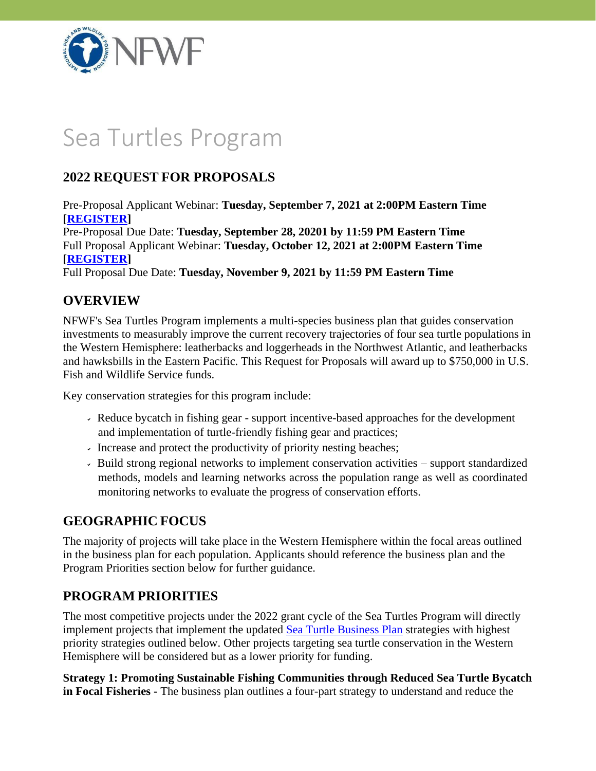

# Sea Turtles Program

# **2022 REQUEST FOR PROPOSALS**

Pre-Proposal Applicant Webinar: **Tuesday, September 7, 2021 at 2:00PM Eastern Time [\[REGISTER\]](https://attendee.gotowebinar.com/register/2250634748262769423)**

Pre-Proposal Due Date: **Tuesday, September 28, 20201 by 11:59 PM Eastern Time** Full Proposal Applicant Webinar: **Tuesday, October 12, 2021 at 2:00PM Eastern Time [\[REGISTER\]](https://attendee.gotowebinar.com/register/4645268818979325708)**

Full Proposal Due Date: **Tuesday, November 9, 2021 by 11:59 PM Eastern Time**

## **OVERVIEW**

NFWF's Sea Turtles Program implements a multi-species business plan that guides conservation investments to measurably improve the current recovery trajectories of four sea turtle populations in the Western Hemisphere: leatherbacks and loggerheads in the Northwest Atlantic, and leatherbacks and hawksbills in the Eastern Pacific. This Request for Proposals will award up to \$750,000 in U.S. Fish and Wildlife Service funds.

Key conservation strategies for this program include:

- Reduce bycatch in fishing gear support incentive-based approaches for the development and implementation of turtle-friendly fishing gear and practices;
- Increase and protect the productivity of priority nesting beaches;
- Build strong regional networks to implement conservation activities support standardized methods, models and learning networks across the population range as well as coordinated monitoring networks to evaluate the progress of conservation efforts.

## **GEOGRAPHIC FOCUS**

The majority of projects will take place in the Western Hemisphere within the focal areas outlined in the business plan for each population. Applicants should reference the business plan and the Program Priorities section below for further guidance.

## **PROGRAM PRIORITIES**

The most competitive projects under the 2022 grant cycle of the Sea Turtles Program will directly implement projects that implement the updated [Sea Turtle Business Plan](https://www.nfwf.org/seaturtles/Documents/sea-turtle-business-plan.pdf) strategies with highest priority strategies outlined below. Other projects targeting sea turtle conservation in the Western Hemisphere will be considered but as a lower priority for funding.

**Strategy 1: Promoting Sustainable Fishing Communities through Reduced Sea Turtle Bycatch in Focal Fisheries -** The business plan outlines a four-part strategy to understand and reduce the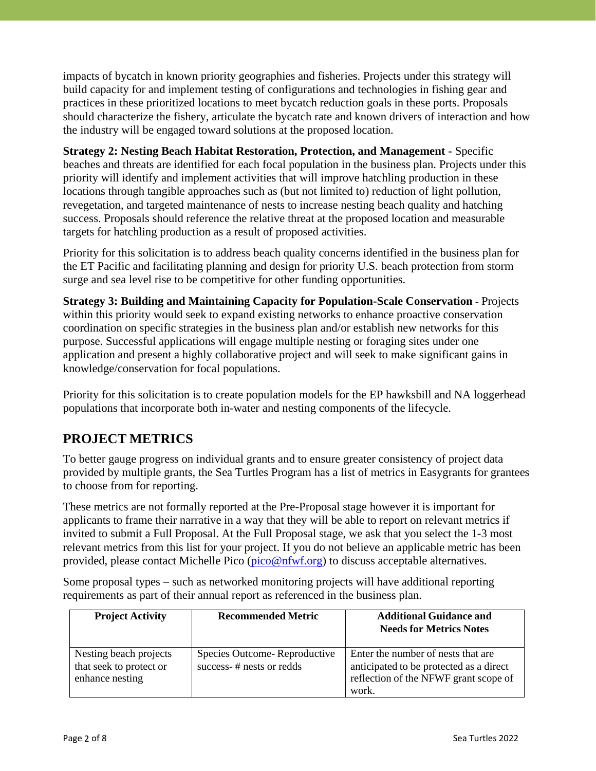impacts of bycatch in known priority geographies and fisheries. Projects under this strategy will build capacity for and implement testing of configurations and technologies in fishing gear and practices in these prioritized locations to meet bycatch reduction goals in these ports. Proposals should characterize the fishery, articulate the bycatch rate and known drivers of interaction and how the industry will be engaged toward solutions at the proposed location.

**Strategy 2: Nesting Beach Habitat Restoration, Protection, and Management -** Specific beaches and threats are identified for each focal population in the business plan. Projects under this priority will identify and implement activities that will improve hatchling production in these locations through tangible approaches such as (but not limited to) reduction of light pollution, revegetation, and targeted maintenance of nests to increase nesting beach quality and hatching success. Proposals should reference the relative threat at the proposed location and measurable targets for hatchling production as a result of proposed activities.

Priority for this solicitation is to address beach quality concerns identified in the business plan for the ET Pacific and facilitating planning and design for priority U.S. beach protection from storm surge and sea level rise to be competitive for other funding opportunities.

**Strategy 3: Building and Maintaining Capacity for Population-Scale Conservation** - Projects within this priority would seek to expand existing networks to enhance proactive conservation coordination on specific strategies in the business plan and/or establish new networks for this purpose. Successful applications will engage multiple nesting or foraging sites under one application and present a highly collaborative project and will seek to make significant gains in knowledge/conservation for focal populations.

Priority for this solicitation is to create population models for the EP hawksbill and NA loggerhead populations that incorporate both in-water and nesting components of the lifecycle.

# **PROJECT METRICS**

To better gauge progress on individual grants and to ensure greater consistency of project data provided by multiple grants, the Sea Turtles Program has a list of metrics in Easygrants for grantees to choose from for reporting.

These metrics are not formally reported at the Pre-Proposal stage however it is important for applicants to frame their narrative in a way that they will be able to report on relevant metrics if invited to submit a Full Proposal. At the Full Proposal stage, we ask that you select the 1-3 most relevant metrics from this list for your project. If you do not believe an applicable metric has been provided, please contact Michelle Pico [\(pico@nfwf.org\)](mailto:pico@nfwf.org) to discuss acceptable alternatives.

Some proposal types – such as networked monitoring projects will have additional reporting requirements as part of their annual report as referenced in the business plan.

| <b>Project Activity</b>                                              | <b>Recommended Metric</b>                                | <b>Additional Guidance and</b><br><b>Needs for Metrics Notes</b>                                                                |
|----------------------------------------------------------------------|----------------------------------------------------------|---------------------------------------------------------------------------------------------------------------------------------|
| Nesting beach projects<br>that seek to protect or<br>enhance nesting | Species Outcome-Reproductive<br>success-# nests or redds | Enter the number of nests that are<br>anticipated to be protected as a direct<br>reflection of the NFWF grant scope of<br>work. |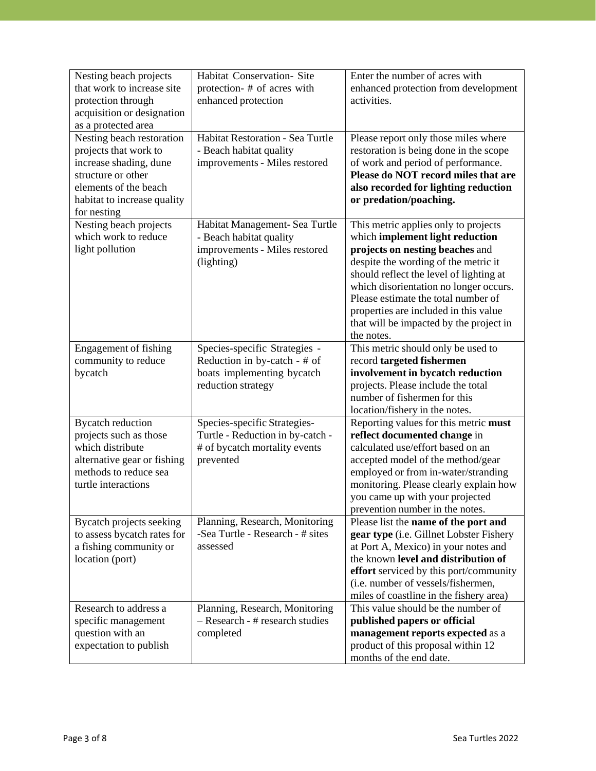| Nesting beach projects<br>that work to increase site<br>protection through<br>acquisition or designation<br>as a protected area                                           | Habitat Conservation- Site<br>protection- # of acres with<br>enhanced protection                                  | Enter the number of acres with<br>enhanced protection from development<br>activities.                                                                                                                                                                                                                                                                                            |
|---------------------------------------------------------------------------------------------------------------------------------------------------------------------------|-------------------------------------------------------------------------------------------------------------------|----------------------------------------------------------------------------------------------------------------------------------------------------------------------------------------------------------------------------------------------------------------------------------------------------------------------------------------------------------------------------------|
| Nesting beach restoration<br>projects that work to<br>increase shading, dune<br>structure or other<br>elements of the beach<br>habitat to increase quality<br>for nesting | Habitat Restoration - Sea Turtle<br>- Beach habitat quality<br>improvements - Miles restored                      | Please report only those miles where<br>restoration is being done in the scope<br>of work and period of performance.<br>Please do NOT record miles that are<br>also recorded for lighting reduction<br>or predation/poaching.                                                                                                                                                    |
| Nesting beach projects<br>which work to reduce<br>light pollution                                                                                                         | Habitat Management- Sea Turtle<br>- Beach habitat quality<br>improvements - Miles restored<br>(lighting)          | This metric applies only to projects<br>which implement light reduction<br>projects on nesting beaches and<br>despite the wording of the metric it<br>should reflect the level of lighting at<br>which disorientation no longer occurs.<br>Please estimate the total number of<br>properties are included in this value<br>that will be impacted by the project in<br>the notes. |
| <b>Engagement of fishing</b><br>community to reduce<br>bycatch                                                                                                            | Species-specific Strategies -<br>Reduction in by-catch - # of<br>boats implementing bycatch<br>reduction strategy | This metric should only be used to<br>record targeted fishermen<br>involvement in bycatch reduction<br>projects. Please include the total<br>number of fishermen for this<br>location/fishery in the notes.                                                                                                                                                                      |
| <b>Bycatch reduction</b><br>projects such as those<br>which distribute<br>alternative gear or fishing<br>methods to reduce sea<br>turtle interactions                     | Species-specific Strategies-<br>Turtle - Reduction in by-catch -<br># of bycatch mortality events<br>prevented    | Reporting values for this metric must<br>reflect documented change in<br>calculated use/effort based on an<br>accepted model of the method/gear<br>employed or from in-water/stranding<br>monitoring. Please clearly explain how<br>you came up with your projected<br>prevention number in the notes.                                                                           |
| Bycatch projects seeking<br>to assess bycatch rates for<br>a fishing community or<br>location (port)                                                                      | Planning, Research, Monitoring<br>-Sea Turtle - Research - # sites<br>assessed                                    | Please list the name of the port and<br>gear type (i.e. Gillnet Lobster Fishery<br>at Port A, Mexico) in your notes and<br>the known level and distribution of<br>effort serviced by this port/community<br>(i.e. number of vessels/fishermen,<br>miles of coastline in the fishery area)                                                                                        |
| Research to address a<br>specific management<br>question with an<br>expectation to publish                                                                                | Planning, Research, Monitoring<br>$-$ Research - # research studies<br>completed                                  | This value should be the number of<br>published papers or official<br>management reports expected as a<br>product of this proposal within 12<br>months of the end date.                                                                                                                                                                                                          |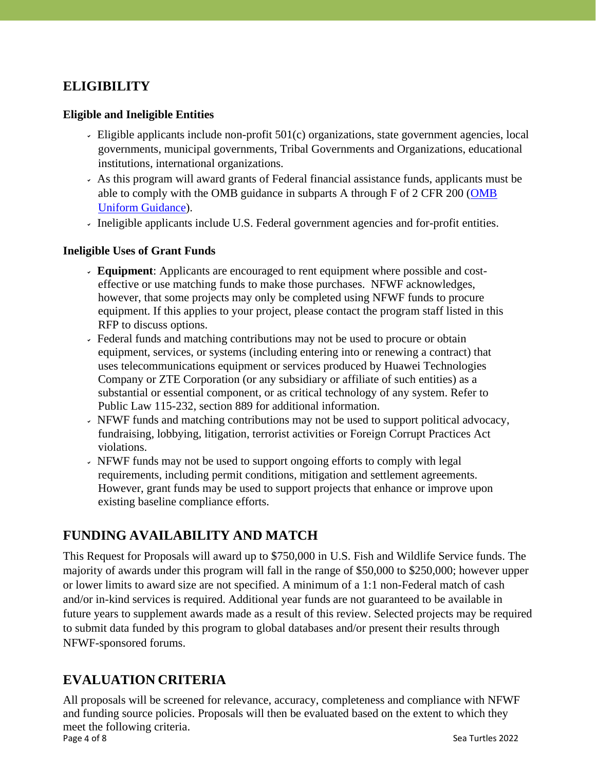## **ELIGIBILITY**

#### **Eligible and Ineligible Entities**

- Eligible applicants include non-profit  $501(c)$  organizations, state government agencies, local governments, municipal governments, Tribal Governments and Organizations, educational institutions, international organizations.
- As this program will award grants of Federal financial assistance funds, applicants must be able to comply with the OMB guidance in subparts A through F of 2 CFR 200 [\(OMB](https://www.grants.gov/web/grants/learn-grants/grant-policies/omb-uniform-guidance-2014.html) Uniform [Guidance\)](https://www.grants.gov/web/grants/learn-grants/grant-policies/omb-uniform-guidance-2014.html).
- Ineligible applicants include U.S. Federal government agencies and for-profit entities.

#### **Ineligible Uses of Grant Funds**

- **Equipment**: Applicants are encouraged to rent equipment where possible and costeffective or use matching funds to make those purchases. NFWF acknowledges, however, that some projects may only be completed using NFWF funds to procure equipment. If this applies to your project, please contact the program staff listed in this RFP to discuss options.
- Federal funds and matching contributions may not be used to procure or obtain equipment, services, or systems (including entering into or renewing a contract) that uses telecommunications equipment or services produced by Huawei Technologies Company or ZTE Corporation (or any subsidiary or affiliate of such entities) as a substantial or essential component, or as critical technology of any system. Refer to Public Law 115-232, section 889 for additional information.
- NFWF funds and matching contributions may not be used to support political advocacy, fundraising, lobbying, litigation, terrorist activities or Foreign Corrupt Practices Act violations.
- NFWF funds may not be used to support ongoing efforts to comply with legal requirements, including permit conditions, mitigation and settlement agreements. However, grant funds may be used to support projects that enhance or improve upon existing baseline compliance efforts.

## **FUNDING AVAILABILITY AND MATCH**

This Request for Proposals will award up to \$750,000 in U.S. Fish and Wildlife Service funds. The majority of awards under this program will fall in the range of \$50,000 to \$250,000; however upper or lower limits to award size are not specified. A minimum of a 1:1 non-Federal match of cash and/or in-kind services is required. Additional year funds are not guaranteed to be available in future years to supplement awards made as a result of this review. Selected projects may be required to submit data funded by this program to global databases and/or present their results through NFWF-sponsored forums.

## **EVALUATION CRITERIA**

Page 4 of 8 Sea Turtles 2022 All proposals will be screened for relevance, accuracy, completeness and compliance with NFWF and funding source policies. Proposals will then be evaluated based on the extent to which they meet the following criteria.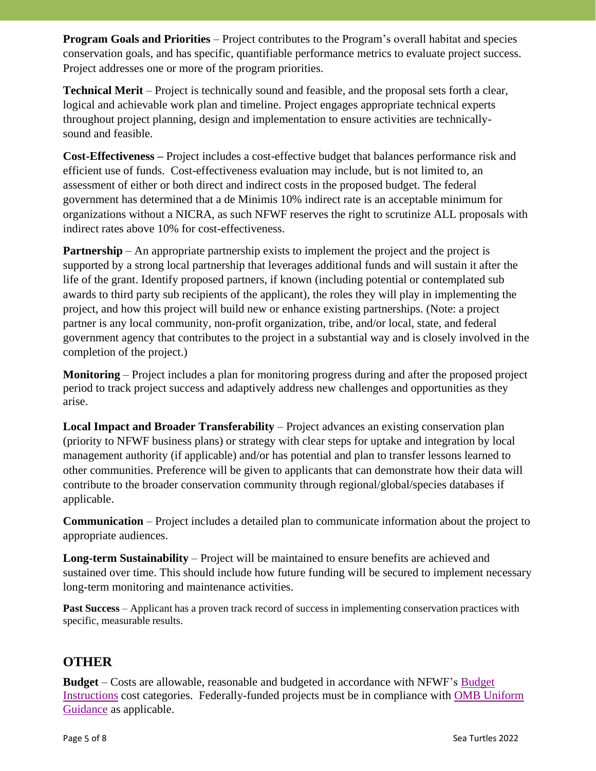**Program Goals and Priorities** – Project contributes to the Program's overall habitat and species conservation goals, and has specific, quantifiable performance metrics to evaluate project success. Project addresses one or more of the program priorities.

**Technical Merit** – Project is technically sound and feasible, and the proposal sets forth a clear, logical and achievable work plan and timeline. Project engages appropriate technical experts throughout project planning, design and implementation to ensure activities are technicallysound and feasible.

**Cost-Effectiveness –** Project includes a cost-effective budget that balances performance risk and efficient use of funds. Cost-effectiveness evaluation may include, but is not limited to, an assessment of either or both direct and indirect costs in the proposed budget. The federal government has determined that a de Minimis 10% indirect rate is an acceptable minimum for organizations without a NICRA, as such NFWF reserves the right to scrutinize ALL proposals with indirect rates above 10% for cost-effectiveness.

**Partnership** – An appropriate partnership exists to implement the project and the project is supported by a strong local partnership that leverages additional funds and will sustain it after the life of the grant. Identify proposed partners, if known (including potential or contemplated sub awards to third party sub recipients of the applicant), the roles they will play in implementing the project, and how this project will build new or enhance existing partnerships. (Note: a project partner is any local community, non-profit organization, tribe, and/or local, state, and federal government agency that contributes to the project in a substantial way and is closely involved in the completion of the project.)

**Monitoring** – Project includes a plan for monitoring progress during and after the proposed project period to track project success and adaptively address new challenges and opportunities as they arise.

**Local Impact and Broader Transferability** – Project advances an existing conservation plan (priority to NFWF business plans) or strategy with clear steps for uptake and integration by local management authority (if applicable) and/or has potential and plan to transfer lessons learned to other communities. Preference will be given to applicants that can demonstrate how their data will contribute to the broader conservation community through regional/global/species databases if applicable.

**Communication** – Project includes a detailed plan to communicate information about the project to appropriate audiences.

**Long-term Sustainability** – Project will be maintained to ensure benefits are achieved and sustained over time. This should include how future funding will be secured to implement necessary long-term monitoring and maintenance activities.

**Past Success** – Applicant has a proven track record of success in implementing conservation practices with specific, measurable results.

## **OTHER**

**Budget** – Costs are allowable, reasonable and budgeted in accordance with NFWF's [Budget](https://www.nfwf.org/apply-grant/application-information/budget-instructions) [Instructions](https://www.nfwf.org/apply-grant/application-information/budget-instructions) cost categories. Federally-funded projects must be in compliance with [OMB Uniform](http://www.ecfr.gov/cgi-bin/text-idx?SID=704835d27377ef5213a51c149de40cab&node=2%3A1.1.2.2.1&rgn=div5) [Guidance](http://www.ecfr.gov/cgi-bin/text-idx?SID=704835d27377ef5213a51c149de40cab&node=2%3A1.1.2.2.1&rgn=div5) as applicable.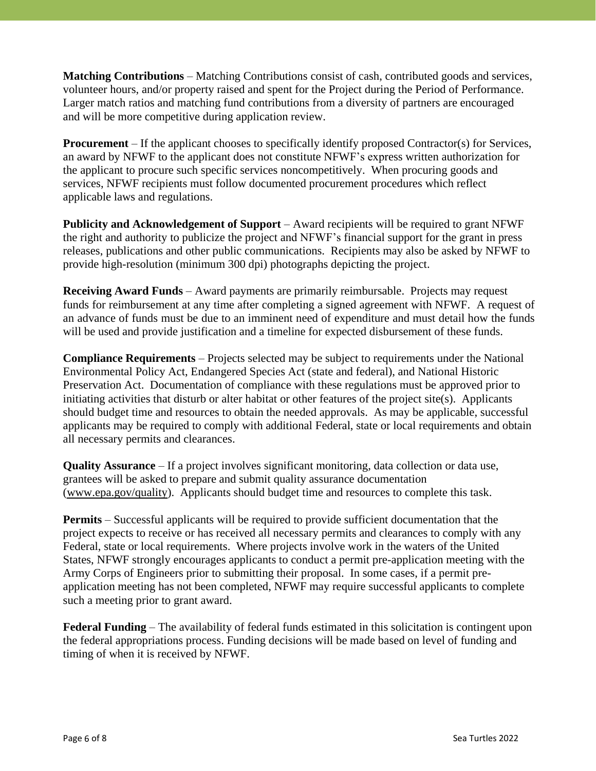**Matching Contributions** – Matching Contributions consist of cash, contributed goods and services, volunteer hours, and/or property raised and spent for the Project during the Period of Performance. Larger match ratios and matching fund contributions from a diversity of partners are encouraged and will be more competitive during application review.

**Procurement** – If the applicant chooses to specifically identify proposed Contractor(s) for Services, an award by NFWF to the applicant does not constitute NFWF's express written authorization for the applicant to procure such specific services noncompetitively. When procuring goods and services, NFWF recipients must follow documented procurement procedures which reflect applicable laws and regulations.

**Publicity and Acknowledgement of Support** – Award recipients will be required to grant NFWF the right and authority to publicize the project and NFWF's financial support for the grant in press releases, publications and other public communications. Recipients may also be asked by NFWF to provide high-resolution (minimum 300 dpi) photographs depicting the project.

**Receiving Award Funds** – Award payments are primarily reimbursable. Projects may request funds for reimbursement at any time after completing a signed agreement with NFWF. A request of an advance of funds must be due to an imminent need of expenditure and must detail how the funds will be used and provide justification and a timeline for expected disbursement of these funds.

**Compliance Requirements** – Projects selected may be subject to requirements under the National Environmental Policy Act, Endangered Species Act (state and federal), and National Historic Preservation Act. Documentation of compliance with these regulations must be approved prior to initiating activities that disturb or alter habitat or other features of the project site(s). Applicants should budget time and resources to obtain the needed approvals. As may be applicable, successful applicants may be required to comply with additional Federal, state or local requirements and obtain all necessary permits and clearances.

**Quality Assurance** – If a project involves significant monitoring, data collection or data use, grantees will be asked to prepare and submit quality assurance documentation [\(www.epa.gov/quality\)](http://www.epa.gov/quality). Applicants should budget time and resources to complete this task.

**Permits** – Successful applicants will be required to provide sufficient documentation that the project expects to receive or has received all necessary permits and clearances to comply with any Federal, state or local requirements. Where projects involve work in the waters of the United States, NFWF strongly encourages applicants to conduct a permit pre-application meeting with the Army Corps of Engineers prior to submitting their proposal. In some cases, if a permit preapplication meeting has not been completed, NFWF may require successful applicants to complete such a meeting prior to grant award.

**Federal Funding** – The availability of federal funds estimated in this solicitation is contingent upon the federal appropriations process. Funding decisions will be made based on level of funding and timing of when it is received by NFWF.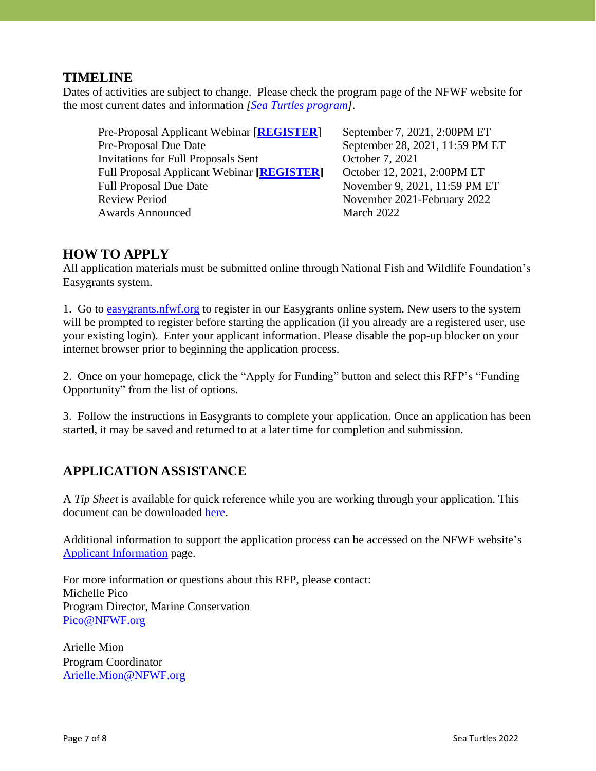### **TIMELINE**

Dates of activities are subject to change. Please check the program page of the NFWF website for the most current dates and information *[\[Sea Turtles](https://www.nfwf.org/programs/sea-turtles) program]*.

Pre-Proposal Applicant Webinar [[REGISTER](https://attendee.gotowebinar.com/register/2250634748262769423)] September 7, 2021, 2:00PM ET Pre-Proposal Due Date September 28, 2021, 11:59 PM ET Invitations for Full Proposals Sent October 7, 2021 Full Proposal Applicant Webinar **[\[REGISTER\]](https://attendee.gotowebinar.com/register/4645268818979325708)** October 12, 2021, 2:00PM ET Full Proposal Due Date November 9, 2021, 11:59 PM ET Review Period November 2021-February 2022 Awards Announced March 2022

## **HOW TO APPLY**

All application materials must be submitted online through National Fish and Wildlife Foundation's Easygrants system.

1. Go to [easygrants.nfwf.org](https://easygrants.nfwf.org/) to register in our Easygrants online system. New users to the system will be prompted to register before starting the application (if you already are a registered user, use your existing login). Enter your applicant information. Please disable the pop-up blocker on your internet browser prior to beginning the application process.

2. Once on your homepage, click the "Apply for Funding" button and select this RFP's "Funding Opportunity" from the list of options.

3. Follow the instructions in Easygrants to complete your application. Once an application has been started, it may be saved and returned to at a later time for completion and submission.

## **APPLICATION ASSISTANCE**

A *Tip Sheet* is available for quick reference while you are working through your application. This document can be downloaded [here.](https://www.nfwf.org/sites/default/files/2021-08/Sea%20Turtles%202022%20Tip%20Sheet__Pre%20Proposal%20to%20Full%20Proposal.pdf)

Additional information to support the application process can be accessed on the NFWF website's [Applicant Information](https://www.nfwf.org/apply-grant/application-information) page.

For more information or questions about this RFP, please contact: Michelle Pico Program Director, Marine Conservation [Pico@NFWF.org](mailto:Pico@NFWF.org)

Arielle Mion Program Coordinator [Arielle.Mion@NFWF.org](mailto:arielle.mion@nfwf.org)